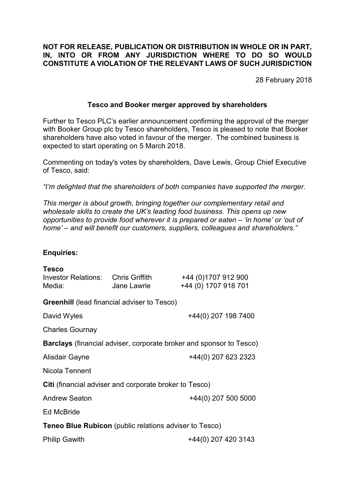## **NOT FOR RELEASE, PUBLICATION OR DISTRIBUTION IN WHOLE OR IN PART, IN, INTO OR FROM ANY JURISDICTION WHERE TO DO SO WOULD CONSTITUTE A VIOLATION OF THE RELEVANT LAWS OF SUCH JURISDICTION**

28 February 2018

#### **Tesco and Booker merger approved by shareholders**

Further to Tesco PLC's earlier announcement confirming the approval of the merger with Booker Group plc by Tesco shareholders, Tesco is pleased to note that Booker shareholders have also voted in favour of the merger. The combined business is expected to start operating on 5 March 2018.

Commenting on today's votes by shareholders, Dave Lewis, Group Chief Executive of Tesco, said:

*"I'm delighted that the shareholders of both companies have supported the merger.*

*This merger is about growth, bringing together our complementary retail and wholesale skills to create the UK's leading food business. This opens up new opportunities to provide food wherever it is prepared or eaten – 'in home' or 'out of home' – and will benefit our customers, suppliers, colleagues and shareholders."*

## **Enquiries:**

| <b>Tesco</b><br>Investor Relations: Chris Griffith<br>Media:               | Jane Lawrie | +44 (0)1707 912 900<br>+44 (0) 1707 918 701 |
|----------------------------------------------------------------------------|-------------|---------------------------------------------|
|                                                                            |             |                                             |
| <b>Greenhill</b> (lead financial adviser to Tesco)                         |             |                                             |
| David Wyles                                                                |             | +44(0) 207 198 7400                         |
| <b>Charles Gournay</b>                                                     |             |                                             |
| <b>Barclays</b> (financial adviser, corporate broker and sponsor to Tesco) |             |                                             |
| Alisdair Gayne                                                             |             | +44(0) 207 623 2323                         |
| Nicola Tennent                                                             |             |                                             |
| Citi (financial adviser and corporate broker to Tesco)                     |             |                                             |
| <b>Andrew Seaton</b>                                                       |             | +44(0) 207 500 5000                         |
| Ed McBride                                                                 |             |                                             |
| <b>Teneo Blue Rubicon</b> (public relations adviser to Tesco)              |             |                                             |
| <b>Philip Gawith</b>                                                       |             | +44(0) 207 420 3143                         |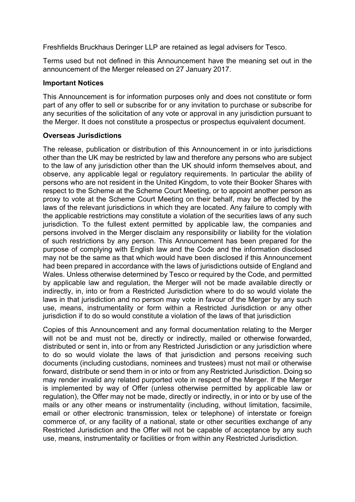Freshfields Bruckhaus Deringer LLP are retained as legal advisers for Tesco.

Terms used but not defined in this Announcement have the meaning set out in the announcement of the Merger released on 27 January 2017.

#### **Important Notices**

This Announcement is for information purposes only and does not constitute or form part of any offer to sell or subscribe for or any invitation to purchase or subscribe for any securities of the solicitation of any vote or approval in any jurisdiction pursuant to the Merger. It does not constitute a prospectus or prospectus equivalent document.

# **Overseas Jurisdictions**

The release, publication or distribution of this Announcement in or into jurisdictions other than the UK may be restricted by law and therefore any persons who are subject to the law of any jurisdiction other than the UK should inform themselves about, and observe, any applicable legal or regulatory requirements. In particular the ability of persons who are not resident in the United Kingdom, to vote their Booker Shares with respect to the Scheme at the Scheme Court Meeting, or to appoint another person as proxy to vote at the Scheme Court Meeting on their behalf, may be affected by the laws of the relevant jurisdictions in which they are located. Any failure to comply with the applicable restrictions may constitute a violation of the securities laws of any such jurisdiction. To the fullest extent permitted by applicable law, the companies and persons involved in the Merger disclaim any responsibility or liability for the violation of such restrictions by any person. This Announcement has been prepared for the purpose of complying with English law and the Code and the information disclosed may not be the same as that which would have been disclosed if this Announcement had been prepared in accordance with the laws of jurisdictions outside of England and Wales. Unless otherwise determined by Tesco or required by the Code, and permitted by applicable law and regulation, the Merger will not be made available directly or indirectly, in, into or from a Restricted Jurisdiction where to do so would violate the laws in that jurisdiction and no person may vote in favour of the Merger by any such use, means, instrumentality or form within a Restricted Jurisdiction or any other jurisdiction if to do so would constitute a violation of the laws of that jurisdiction

Copies of this Announcement and any formal documentation relating to the Merger will not be and must not be, directly or indirectly, mailed or otherwise forwarded, distributed or sent in, into or from any Restricted Jurisdiction or any jurisdiction where to do so would violate the laws of that jurisdiction and persons receiving such documents (including custodians, nominees and trustees) must not mail or otherwise forward, distribute or send them in or into or from any Restricted Jurisdiction. Doing so may render invalid any related purported vote in respect of the Merger. If the Merger is implemented by way of Offer (unless otherwise permitted by applicable law or regulation), the Offer may not be made, directly or indirectly, in or into or by use of the mails or any other means or instrumentality (including, without limitation, facsimile, email or other electronic transmission, telex or telephone) of interstate or foreign commerce of, or any facility of a national, state or other securities exchange of any Restricted Jurisdiction and the Offer will not be capable of acceptance by any such use, means, instrumentality or facilities or from within any Restricted Jurisdiction.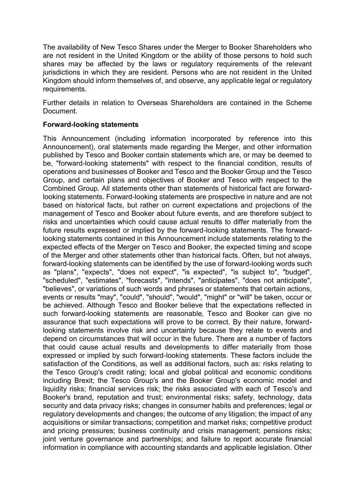The availability of New Tesco Shares under the Merger to Booker Shareholders who are not resident in the United Kingdom or the ability of those persons to hold such shares may be affected by the laws or regulatory requirements of the relevant jurisdictions in which they are resident. Persons who are not resident in the United Kingdom should inform themselves of, and observe, any applicable legal or regulatory requirements.

Further details in relation to Overseas Shareholders are contained in the Scheme Document.

# **Forward-looking statements**

This Announcement (including information incorporated by reference into this Announcement), oral statements made regarding the Merger, and other information published by Tesco and Booker contain statements which are, or may be deemed to be, "forward-looking statements" with respect to the financial condition, results of operations and businesses of Booker and Tesco and the Booker Group and the Tesco Group, and certain plans and objectives of Booker and Tesco with respect to the Combined Group. All statements other than statements of historical fact are forwardlooking statements. Forward-looking statements are prospective in nature and are not based on historical facts, but rather on current expectations and projections of the management of Tesco and Booker about future events, and are therefore subject to risks and uncertainties which could cause actual results to differ materially from the future results expressed or implied by the forward-looking statements. The forwardlooking statements contained in this Announcement include statements relating to the expected effects of the Merger on Tesco and Booker, the expected timing and scope of the Merger and other statements other than historical facts. Often, but not always, forward-looking statements can be identified by the use of forward-looking words such as "plans", "expects", "does not expect", "is expected", "is subject to", "budget", "scheduled", "estimates", "forecasts", "intends", "anticipates", "does not anticipate", "believes", or variations of such words and phrases or statements that certain actions, events or results "may", "could", "should", "would", "might" or "will" be taken, occur or be achieved. Although Tesco and Booker believe that the expectations reflected in such forward-looking statements are reasonable, Tesco and Booker can give no assurance that such expectations will prove to be correct. By their nature, forwardlooking statements involve risk and uncertainty because they relate to events and depend on circumstances that will occur in the future. There are a number of factors that could cause actual results and developments to differ materially from those expressed or implied by such forward-looking statements. These factors include the satisfaction of the Conditions, as well as additional factors, such as: risks relating to the Tesco Group's credit rating; local and global political and economic conditions including Brexit; the Tesco Group's and the Booker Group's economic model and liquidity risks; financial services risk; the risks associated with each of Tesco's and Booker's brand, reputation and trust; environmental risks; safety, technology, data security and data privacy risks; changes in consumer habits and preferences; legal or regulatory developments and changes; the outcome of any litigation; the impact of any acquisitions or similar transactions; competition and market risks; competitive product and pricing pressures; business continuity and crisis management; pensions risks; joint venture governance and partnerships; and failure to report accurate financial information in compliance with accounting standards and applicable legislation. Other